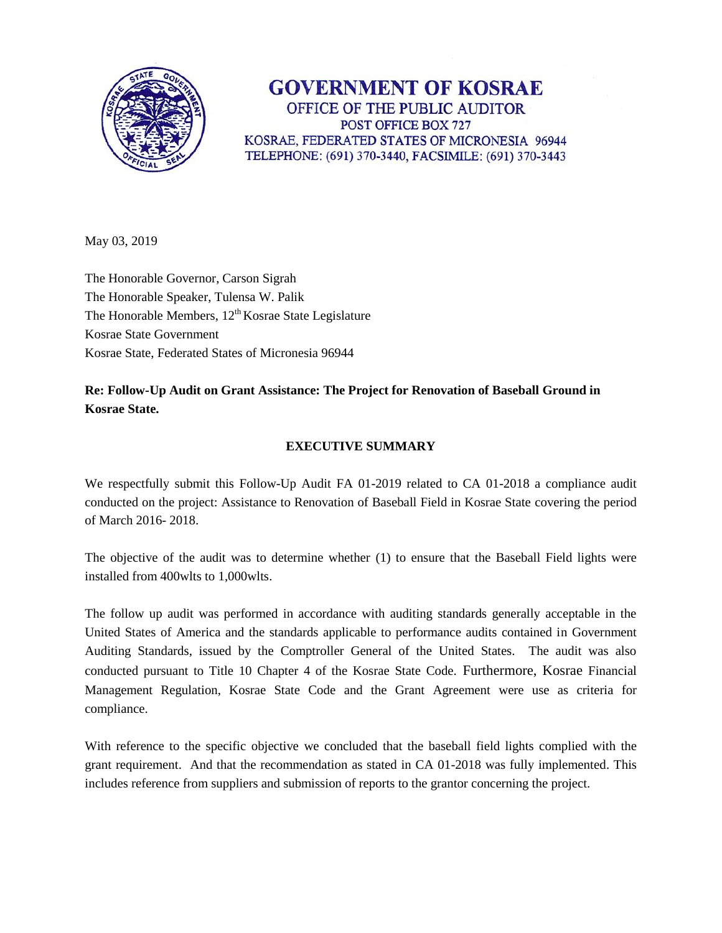

**GOVERNMENT OF KOSRAE** OFFICE OF THE PUBLIC AUDITOR POST OFFICE BOX 727 KOSRAE, FEDERATED STATES OF MICRONESIA 96944 TELEPHONE: (691) 370-3440, FACSIMILE: (691) 370-3443

May 03, 2019

The Honorable Governor, Carson Sigrah The Honorable Speaker, Tulensa W. Palik The Honorable Members,  $12<sup>th</sup> Kosrae$  State Legislature Kosrae State Government Kosrae State, Federated States of Micronesia 96944

# **Re: Follow-Up Audit on Grant Assistance: The Project for Renovation of Baseball Ground in Kosrae State.**

## **EXECUTIVE SUMMARY**

We respectfully submit this Follow-Up Audit FA 01-2019 related to CA 01-2018 a compliance audit conducted on the project: Assistance to Renovation of Baseball Field in Kosrae State covering the period of March 2016- 2018.

The objective of the audit was to determine whether (1) to ensure that the Baseball Field lights were installed from 400wlts to 1,000wlts.

The follow up audit was performed in accordance with auditing standards generally acceptable in the United States of America and the standards applicable to performance audits contained in Government Auditing Standards, issued by the Comptroller General of the United States. The audit was also conducted pursuant to Title 10 Chapter 4 of the Kosrae State Code. Furthermore, Kosrae Financial Management Regulation, Kosrae State Code and the Grant Agreement were use as criteria for compliance.

With reference to the specific objective we concluded that the baseball field lights complied with the grant requirement. And that the recommendation as stated in CA 01-2018 was fully implemented. This includes reference from suppliers and submission of reports to the grantor concerning the project.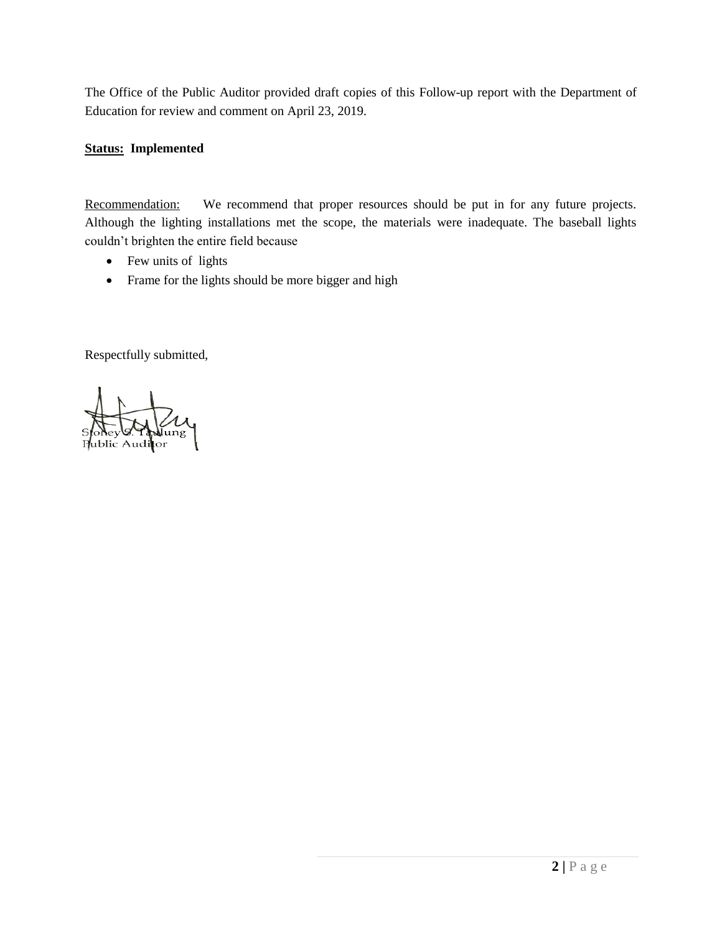The Office of the Public Auditor provided draft copies of this Follow-up report with the Department of Education for review and comment on April 23, 2019.

### **Status: Implemented**

Recommendation: We recommend that proper resources should be put in for any future projects. Although the lighting installations met the scope, the materials were inadequate. The baseball lights couldn't brighten the entire field because

- Few units of lights
- Frame for the lights should be more bigger and high

Respectfully submitted,

Spokey of Hudung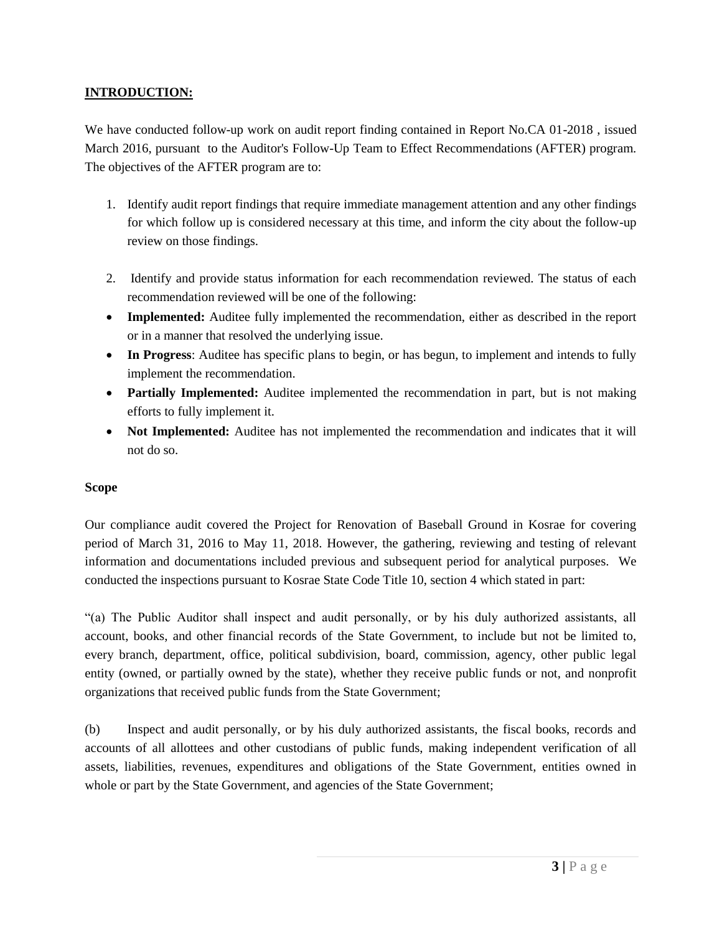#### **INTRODUCTION:**

We have conducted follow-up work on audit report finding contained in Report No.CA 01-2018, issued March 2016, pursuant to the Auditor's Follow-Up Team to Effect Recommendations (AFTER) program. The objectives of the AFTER program are to:

- 1. Identify audit report findings that require immediate management attention and any other findings for which follow up is considered necessary at this time, and inform the city about the follow-up review on those findings.
- 2. Identify and provide status information for each recommendation reviewed. The status of each recommendation reviewed will be one of the following:
- **Implemented:** Auditee fully implemented the recommendation, either as described in the report or in a manner that resolved the underlying issue.
- In Progress: Auditee has specific plans to begin, or has begun, to implement and intends to fully implement the recommendation.
- **Partially Implemented:** Auditee implemented the recommendation in part, but is not making efforts to fully implement it.
- **Not Implemented:** Auditee has not implemented the recommendation and indicates that it will not do so.

#### **Scope**

Our compliance audit covered the Project for Renovation of Baseball Ground in Kosrae for covering period of March 31, 2016 to May 11, 2018. However, the gathering, reviewing and testing of relevant information and documentations included previous and subsequent period for analytical purposes. We conducted the inspections pursuant to Kosrae State Code Title 10, section 4 which stated in part:

"(a) The Public Auditor shall inspect and audit personally, or by his duly authorized assistants, all account, books, and other financial records of the State Government, to include but not be limited to, every branch, department, office, political subdivision, board, commission, agency, other public legal entity (owned, or partially owned by the state), whether they receive public funds or not, and nonprofit organizations that received public funds from the State Government;

(b) Inspect and audit personally, or by his duly authorized assistants, the fiscal books, records and accounts of all allottees and other custodians of public funds, making independent verification of all assets, liabilities, revenues, expenditures and obligations of the State Government, entities owned in whole or part by the State Government, and agencies of the State Government;